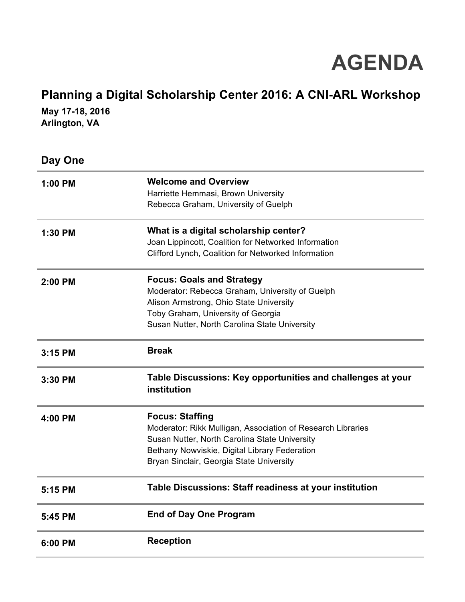## **AGENDA**

## **Planning a Digital Scholarship Center 2016: A CNI-ARL Workshop**

**May 17-18, 2016 Arlington, VA**

**Day One**

| 1:00 PM | <b>Welcome and Overview</b><br>Harriette Hemmasi, Brown University<br>Rebecca Graham, University of Guelph                                                                                                                          |
|---------|-------------------------------------------------------------------------------------------------------------------------------------------------------------------------------------------------------------------------------------|
| 1:30 PM | What is a digital scholarship center?<br>Joan Lippincott, Coalition for Networked Information<br>Clifford Lynch, Coalition for Networked Information                                                                                |
| 2:00 PM | <b>Focus: Goals and Strategy</b><br>Moderator: Rebecca Graham, University of Guelph<br>Alison Armstrong, Ohio State University<br>Toby Graham, University of Georgia<br>Susan Nutter, North Carolina State University               |
| 3:15 PM | <b>Break</b>                                                                                                                                                                                                                        |
| 3:30 PM | Table Discussions: Key opportunities and challenges at your<br>institution                                                                                                                                                          |
| 4:00 PM | <b>Focus: Staffing</b><br>Moderator: Rikk Mulligan, Association of Research Libraries<br>Susan Nutter, North Carolina State University<br>Bethany Nowviskie, Digital Library Federation<br>Bryan Sinclair, Georgia State University |
| 5:15 PM | Table Discussions: Staff readiness at your institution                                                                                                                                                                              |
| 5:45 PM | <b>End of Day One Program</b>                                                                                                                                                                                                       |
| 6:00 PM | <b>Reception</b>                                                                                                                                                                                                                    |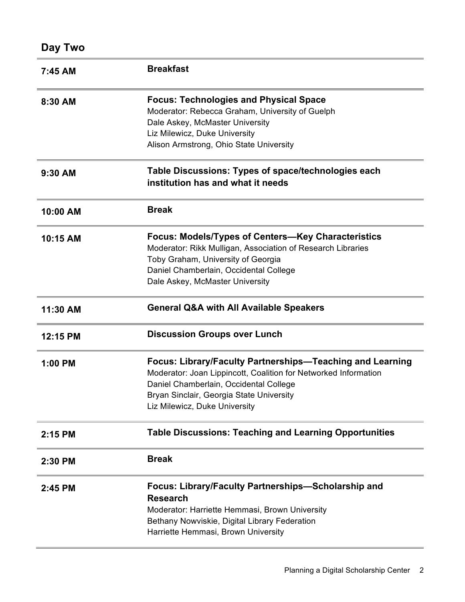| 7:45 AM  | <b>Breakfast</b>                                                                                                                                                                                                                                    |
|----------|-----------------------------------------------------------------------------------------------------------------------------------------------------------------------------------------------------------------------------------------------------|
| 8:30 AM  | <b>Focus: Technologies and Physical Space</b><br>Moderator: Rebecca Graham, University of Guelph<br>Dale Askey, McMaster University<br>Liz Milewicz, Duke University<br>Alison Armstrong, Ohio State University                                     |
| 9:30 AM  | Table Discussions: Types of space/technologies each<br>institution has and what it needs                                                                                                                                                            |
| 10:00 AM | <b>Break</b>                                                                                                                                                                                                                                        |
| 10:15 AM | Focus: Models/Types of Centers-Key Characteristics<br>Moderator: Rikk Mulligan, Association of Research Libraries<br>Toby Graham, University of Georgia<br>Daniel Chamberlain, Occidental College<br>Dale Askey, McMaster University                |
| 11:30 AM | <b>General Q&amp;A with All Available Speakers</b>                                                                                                                                                                                                  |
| 12:15 PM | <b>Discussion Groups over Lunch</b>                                                                                                                                                                                                                 |
| 1:00 PM  | Focus: Library/Faculty Partnerships—Teaching and Learning<br>Moderator: Joan Lippincott, Coalition for Networked Information<br>Daniel Chamberlain, Occidental College<br>Bryan Sinclair, Georgia State University<br>Liz Milewicz, Duke University |
| 2:15 PM  | <b>Table Discussions: Teaching and Learning Opportunities</b>                                                                                                                                                                                       |
| 2:30 PM  | <b>Break</b>                                                                                                                                                                                                                                        |
| 2:45 PM  | Focus: Library/Faculty Partnerships-Scholarship and<br><b>Research</b><br>Moderator: Harriette Hemmasi, Brown University<br>Bethany Nowviskie, Digital Library Federation<br>Harriette Hemmasi, Brown University                                    |